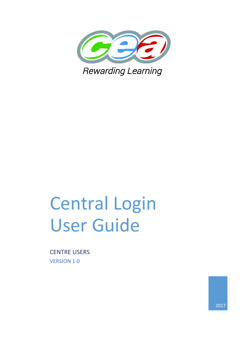

# Central Login User Guide

CENTRE USERS VERSION 1.0

2017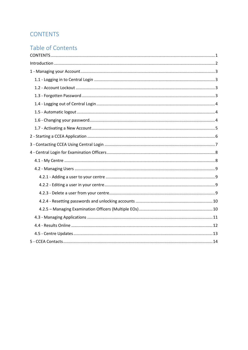# <span id="page-1-0"></span>**CONTENTS**

# Table of Contents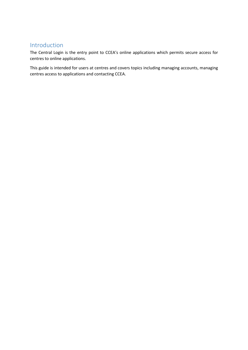# <span id="page-2-0"></span>Introduction

The Central Login is the entry point to CCEA's online applications which permits secure access for centres to online applications.

This guide is intended for users at centres and covers topics including managing accounts, managing centres access to applications and contacting CCEA.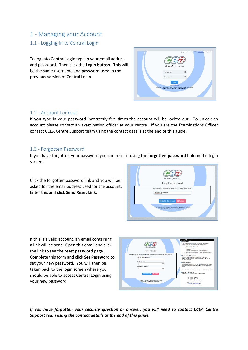# <span id="page-3-1"></span><span id="page-3-0"></span>1 - Managing your Account 1.1 - Logging in to Central Login

To log into Central Login type in your email address and password. Then click the **Login button**. This will be the same username and password used in the previous version of Central Login.

|                                                                                                                                                                     | By logging in you are accepting CCEAs Privacy Policy regarding cookies. |  |
|---------------------------------------------------------------------------------------------------------------------------------------------------------------------|-------------------------------------------------------------------------|--|
| Rewarding Learning                                                                                                                                                  |                                                                         |  |
| Username                                                                                                                                                            |                                                                         |  |
| Password                                                                                                                                                            |                                                                         |  |
| Login<br>Forgotten Reasonand<br>For security reasons, please Log Out and Exit your web browser when you are<br>done accessing services that require authentication! |                                                                         |  |

## <span id="page-3-2"></span>1.2 - Account Lockout

If you type in your password incorrectly five times the account will be locked out. To unlock an account please contact an examination officer at your centre. If you are the Examinations Officer contact CCEA Centre Support team using the contact details at the end of this guide.

## <span id="page-3-3"></span>1.3 - Forgotten Password

If you have forgotten your password you can reset it using the **forgotten password link** on the login screen.

Click the forgotten password link and you will be asked for the email address used for the account. Enter this and click **Send Reset Link**.



If this is a valid account, an email containing a link will be sent. Open this email and click the link to see the reset password page. Complete this form and click **Set Password** to set your new password. You will then be taken back to the login screen where you should be able to access Central Login using your new password.



*If you have forgotten your security question or answer, you will need to contact CCEA Centre Support team using the contact details at the end of this guide.*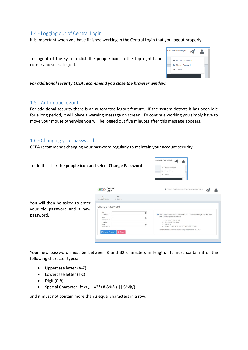## <span id="page-4-0"></span>1.4 - Logging out of Central Login

It is important when you have finished working in the Central Login that you logout properly.

To logout of the system click the **people icon** in the top right-hand corner and select logout.

*For additional security CCEA recommend you close the browser window.*

#### <span id="page-4-1"></span>1.5 - Automatic logout

For additional security there is an automated logout feature. If the system detects it has been idle for a long period, it will place a warning message on screen. To continue working you simply have to move your mouse otherwise you will be logged out five minutes after this message appears.

#### <span id="page-4-2"></span>1.6 - Changing your password

CCEA recommends changing your password regularly to maintain your account security.

Central

 $\overline{P}$ <br>My Centr

 $\circ$ You will then be asked to enter Change Password your old password and a new password.

Your new password must be between 8 and 32 characters in length. It must contain 3 of the following character types:-

 $\mathfrak{m}$ 

 $\circledast$ 

 $_{\oplus}$ 

- Uppercase letter (A-Z)
- Lowercase letter (a-z)
- $\bullet$  Digit (0-9)
- Special Character (!~<>,;:\_=?\*+#.&%°()|[]-\$^@/)

To do this click the **people icon** and select **Change Password**.

and it must not contain more than 2 equal characters in a row.





& eo71007@test.com, Welcome to CCEA Central Login

• - Uppercase letter (A-Z)<br>• - Lowercase letter (a-z)<br>• - Digit (0-9)<br>• - Special Character (l--⇔,::\_=?\*+#,&%°()|[J-\$^®/)

ot contain more than 2 equal ch

 $\triangleright$ ◢

| ome to CCEA Central Login                    |  |
|----------------------------------------------|--|
| in the search of the sea<br>eo71007@test.com |  |
| Change Password                              |  |
| <b>M</b> Logout                              |  |

O Your new password must be<br>of the following character type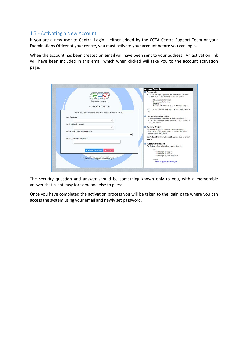## <span id="page-5-0"></span>1.7 - Activating a New Account

If you are a new user to Central Login – either added by the CCEA Centre Support Team or your Examinations Officer at your centre, you must activate your account before you can login.

When the account has been created an email will have been sent to your address. An activation link will have been included in this email which when clicked will take you to the account activation page.

| Rewarding Learning                                          | <b>Account Security</b><br><sup>6</sup> Passwords<br>Your new password must be between 8-32 characters<br>and contain 3 of the following character types -<br>- Uppercase letter (A-Z)<br>- Lowercase letter (a-z) |
|-------------------------------------------------------------|--------------------------------------------------------------------------------------------------------------------------------------------------------------------------------------------------------------------|
| <b>Account Activation</b>                                   | $-Digit (0 - q)$<br>- Special Character (!~<> >?'-#&%'0  []-\$^&/)                                                                                                                                                 |
| Please complete the form below to complete your activation. | and must not contain more than 2 equal characters in a<br>row.                                                                                                                                                     |
| New Password *                                              | <b>O</b> Memorable Information                                                                                                                                                                                     |
| $\odot$                                                     | Choose something memorable known only to you.<br>that is not easy to quess and something that has lots of                                                                                                          |
| Confirm New Password *                                      | possible answers.                                                                                                                                                                                                  |
| (4)                                                         | General Advice<br>It's good practice to change your password and                                                                                                                                                   |
| Please select a security question:- *                       | memorable information requiarly, even if you think<br>nobody else knows them.                                                                                                                                      |
| $\checkmark$                                                | Don't share this information with anyone else or write it                                                                                                                                                          |
| Please enter your answer:- *                                | down.                                                                                                                                                                                                              |
|                                                             | <b><i>O</i></b> Further Information                                                                                                                                                                                |
|                                                             | For further information please contact us at:-                                                                                                                                                                     |
| <b>Activate Account</b><br><b>x</b> Cancel                  | Tel:<br>*44 (0)2890 261293 or                                                                                                                                                                                      |
| If you are a CCEA Liser or need further assistance please.  | *44 (0)2800 251212 or<br>-44 (0)2890 261200 (ext 2410)                                                                                                                                                             |
| contact the ICT helpdeck on extension 2 last                | Email:                                                                                                                                                                                                             |
|                                                             | centresupport@ccea.org.uk                                                                                                                                                                                          |

The security question and answer should be something known only to you, with a memorable answer that is not easy for someone else to guess.

Once you have completed the activation process you will be taken to the login page where you can access the system using your email and newly set password.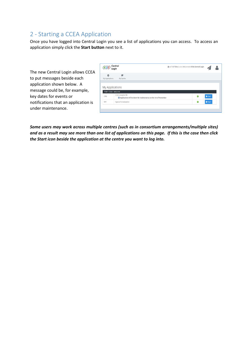# <span id="page-6-0"></span>2 - Starting a CCEA Application

Once you have logged into Central Login you see a list of applications you can access. To access an application simply click the **Start button** next to it.

The new Central Login allows CCEA to put messages beside each application shown below. A message could be, for example, key dates for events or notifications that an application is under maintenance.

|                               | Central<br>Login                                                                             | eo71007@test.com, Welcome to CCEA Central Login |   |       |
|-------------------------------|----------------------------------------------------------------------------------------------|-------------------------------------------------|---|-------|
| $\Omega$<br>My Applications   | 喬<br>My Centre                                                                               |                                                 |   |       |
|                               |                                                                                              |                                                 |   |       |
|                               | My Applications                                                                              |                                                 |   |       |
| 71007: CCEA - MALLUSK<br>CPBI | <b>CCEA Analytics PBI</b><br>Application will be down for maintenance on the 1st of November |                                                 | ø | Start |

*Some users may work across multiple centres (such as in consortium arrangements/multiple sites) and as a result may see more than one list of applications on this page. If this is the case then click the Start icon beside the application at the centre you want to log into.*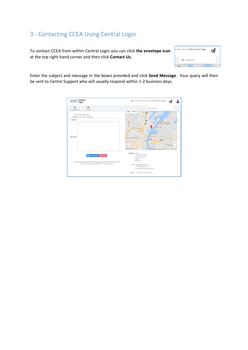# <span id="page-7-0"></span>3 - Contacting CCEA Using Central Login

To contact CCEA from within Central Login you can click **the envelope icon** at the top right-hand corner and then click **Contact Us.**



Enter the subject and message in the boxes provided and click **Send Message**. Your query will then be sent to Centre Support who will usually respond within 1-2 business days.

| Central<br>Login                                                                                                                                                       | & eo71007@test.com, Welcome to CCEA Central Login                                                                                                                                                                                                                                                                             |
|------------------------------------------------------------------------------------------------------------------------------------------------------------------------|-------------------------------------------------------------------------------------------------------------------------------------------------------------------------------------------------------------------------------------------------------------------------------------------------------------------------------|
| 古<br>$\circ$<br>My Applications<br>My Centre                                                                                                                           | Contact Us<br>-d<br>6.2                                                                                                                                                                                                                                                                                                       |
| From eo71007@test.com<br>Centre 71007 : CCEA - MALLUSK<br>Subject *<br>Message <sup>*</sup>                                                                            | $\frac{1}{\overline{a}}$<br><b>Month</b> Rid<br>Northeren ireland<br>onic Bellast<br>W5@<br>SSE Arena C<br>Systemant Rd<br>LAnne's Cathedral C<br>$\mathbf{z}$<br><b>CH3</b><br>$\bullet$<br>$\lambda$ 2<br><b><i><u>Armiownande</u></i></b><br>Google <sub>Belfast</sub><br>O Belfast Water Neodes 02017 Google Terms of Use |
| 图Send Message<br><b>X</b> Cancel<br>Your message will be sent to Centre Support and someone will be in touch<br>as soon as possible. Usually within 1-2 business days. | Address: CCEA<br>29 Clarendon Road.<br>Clarendon Dock,<br>Belfast.<br>BT1 3BG<br>Tel: +44 (0)2890 261293 or<br>+44 (0)2890 261212 or<br>+44 (0)2890 261200 (ext 2410)<br>Email: centresupport@ccea.org.uk                                                                                                                     |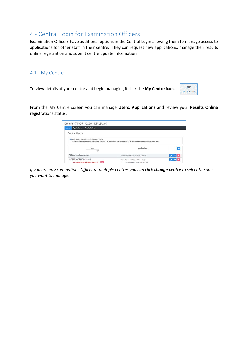## <span id="page-8-0"></span>4 - Central Login for Examination Officers

Examination Officers have additional options in the Central Login allowing them to manage access to applications for other staff in their centre. They can request new applications, manage their results online registration and submit centre update information.

## <span id="page-8-1"></span>4.1 - My Centre

To view details of your centre and begin managing it click the **My Centre icon**.



From the My Centre screen you can manage **Users**, **Applications** and review your **Results Online** registrations status.

| <b>Results Online</b><br><b>Users</b><br>Applications |                                                                                                                        |           |
|-------------------------------------------------------|------------------------------------------------------------------------------------------------------------------------|-----------|
| Centre Users                                          |                                                                                                                        |           |
| Đ<br>This screen shows the list of Centre Users.      | Please use the options below to add, remove and edit users, their application access and to send password reset links. |           |
|                                                       |                                                                                                                        |           |
| User                                                  | Applications                                                                                                           | $\ddot{}$ |
| ASE User (ase@ccea.org.uk)                            | Assessment Structure Editor (Admin)                                                                                    | $ C $ x   |

*If you are an Examinations Officer at multiple centres you can click change centre to select the one you want to manage.*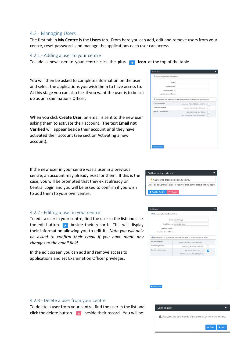#### <span id="page-9-0"></span>4.2 - Managing Users

The first tab in **My Centre** is the **Users** tab. From here you can add, edit and remove users from your centre, reset passwords and manage the applications each user can access.

#### <span id="page-9-1"></span>4.2.1 - Adding a user to your centre

To add a new user to your centre click the **plus icon** at the top of the table.

You will then be asked to complete information on the user and select the applications you wish them to have access to. At this stage you can also tick if you want the user is to be set up as an Examinations Officer.

When you click **Create User**, an email is sent to the new user asking them to activate their account. The text **Email not Verified** will appear beside their account until they have activated their account (See section Activating a new account).

If the new user in your centre was a user in a previous centre, an account may already exist for them. If this is the case, you will be prompted that they exist already on Central Login and you will be asked to confirm if you wish to add them to your own centre.

#### <span id="page-9-2"></span>4.2.2 - Editing a user in your centre

To edit a user in your centre, find the user in the list and click the edit button  $\bullet$  beside their record. This will display their information allowing you to edit it. *Note you will only be asked to confirm their email if you have made any changes to the email field.*

In the edit screen you can add and remove access to applications and set Examination Officer privileges.

| Name.<br><b>Email Address</b><br>Confirm Email * |                                                                                              |  |  |
|--------------------------------------------------|----------------------------------------------------------------------------------------------|--|--|
| <b>Examinations Officer:</b>                     |                                                                                              |  |  |
| <b>A2C Access Keys</b>                           | <sup>1</sup> Please select the applications and roles you want to allow this user to access. |  |  |
| <b>CCEA Analytics PBI</b>                        | Centre User (ROLE_A2CK_EXAMSOFF)<br>Analytics User (ROLE_CPBI_User)                          |  |  |
| <b>Special Consideration</b>                     | SPC CCEA (ROLE_SPC_CCEA)<br>SPC Centre User (ROLE_SPC_CUser)                                 |  |  |
|                                                  |                                                                                              |  |  |
|                                                  |                                                                                              |  |  |
|                                                  |                                                                                              |  |  |
|                                                  |                                                                                              |  |  |
|                                                  |                                                                                              |  |  |



| Name.                        | Jayne Bloggs                                                                                 |  |
|------------------------------|----------------------------------------------------------------------------------------------|--|
| <b>Email Address</b>         | jayneb@test.com                                                                              |  |
| Confirm Email *              |                                                                                              |  |
| <b>Examinations Officer:</b> |                                                                                              |  |
|                              |                                                                                              |  |
|                              | <sup>1</sup> Please select the applications and roles you want to allow this user to access. |  |
| <b>A2C Access Keys</b>       | Centre User (ROLE_A2CK_EXAMSOFF)                                                             |  |
| <b>CCEA Analytics PBI</b>    | Analytics User (ROLE_CPBI_User)                                                              |  |
| <b>Special Consideration</b> | SPC CCEA (ROLE_SPC_CCEA)                                                                     |  |
|                              | SPC Centre User (ROLE_SPC_CUser)                                                             |  |
|                              |                                                                                              |  |
|                              |                                                                                              |  |
|                              |                                                                                              |  |
|                              |                                                                                              |  |
|                              |                                                                                              |  |
|                              |                                                                                              |  |

#### <span id="page-9-3"></span>4.2.3 - Delete a user from your centre

To delete a user from your centre, find the user in the list and click the delete button  $\mathbf{B}$  beside their record. You will be

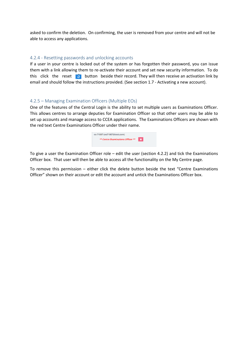asked to confirm the deletion. On confirming, the user is removed from your centre and will not be able to access any applications.

#### <span id="page-10-0"></span>4.2.4 - Resetting passwords and unlocking accounts

If a user in your centre is locked out of the system or has forgotten their password, you can issue them with a link allowing them to re-activate their account and set new security information. To do this click the reset  $\|\mathbf{e}\|$  button beside their record. They will then receive an activation link by email and should follow the instructions provided. (See section 1.7 - Activating a new account).

#### <span id="page-10-1"></span>4.2.5 – Managing Examination Officers (Multiple EOs)

One of the features of the Central Login is the ability to set multiple users as Examinations Officer. This allows centres to arrange deputies for Examination Officer so that other users may be able to set up accounts and manage access to CCEA applications. The Examinations Officers are shown with the red text Centre Examinations Officer under their name.

| eo 71007 (eo71007@test.com)       |   |  |
|-----------------------------------|---|--|
| ** Centre Examinations Officer ** | × |  |
|                                   |   |  |

To give a user the Examination Officer role – edit the user (section 4.2.2) and tick the Examinations Officer box. That user will then be able to access all the functionality on the My Centre page.

To remove this permission – either click the delete button beside the text "Centre Examinations Officer" shown on their account or edit the account and untick the Examinations Officer box.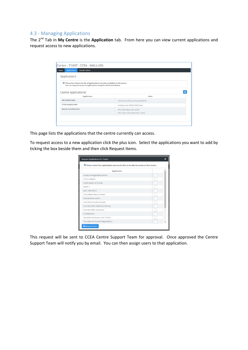## <span id="page-11-0"></span>4.3 - Managing Applications

The 2nd Tab in **My Centre** is the **Application** tab. From here you can view current applications and request access to new applications.

| <b>Applications</b><br><b>Results Online</b><br><b>Users</b>                                                                                                  |                                  |  |
|---------------------------------------------------------------------------------------------------------------------------------------------------------------|----------------------------------|--|
| Applications                                                                                                                                                  |                                  |  |
| <b>O</b> This screen shows the list of applications and roles available to this centre.<br>You can request access to applications using the add button below. |                                  |  |
| Centre Applications:                                                                                                                                          |                                  |  |
| <b>Application</b>                                                                                                                                            | Roles                            |  |
| A2C Access Keys                                                                                                                                               | Centre User (ROLE_A2CK_EXAMSOFF) |  |
| <b>CCEA Analytics PBI</b>                                                                                                                                     | Analytics User (ROLE_CPBI_User)  |  |
| <b>Special Consideration</b>                                                                                                                                  | SPC CCEA (ROLE SPC CCEA)         |  |
|                                                                                                                                                               | SPC Centre User (ROLE SPC CUser) |  |

This page lists the applications that the centre currently can access.

To request access to a new application click the plus icon. Select the applications you want to add by ticking the box beside them and then click Request Items.

| <sup>1</sup> Please select the applications you would like to be able to access at this centre. |  |  |
|-------------------------------------------------------------------------------------------------|--|--|
| <b>Application</b>                                                                              |  |  |
| <b>Access Arrangements Online</b>                                                               |  |  |
| <b>CCEA Analytics</b>                                                                           |  |  |
| Confirmation of Entries                                                                         |  |  |
| Demo <sub>1</sub>                                                                               |  |  |
| EaR / AtS Admin                                                                                 |  |  |
| eCandidate Record Sheets                                                                        |  |  |
| eModeration Admin                                                                               |  |  |
| ePortfolio Sample Uploads                                                                       |  |  |
| <b>Essential Skills Material Ordering</b>                                                       |  |  |
| <b>Essential Skills Outcomes</b>                                                                |  |  |
| <b>E-Statements</b>                                                                             |  |  |
| Key Skills Outcomes (TAC1/TAC2)                                                                 |  |  |
| Occupational Studies Registrations                                                              |  |  |

This request will be sent to CCEA Centre Support Team for approval. Once approved the Centre Support Team will notify you by email. You can then assign users to that application.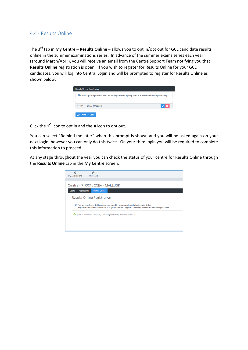## <span id="page-12-0"></span>4.4 - Results Online

The 3rd tab in **My Centre** – **Results Online** – allows you to opt in/opt out for GCE candidate results online in the summer examinations series. In advance of the summer exams series each year (around March/April), you will receive an email from the Centre Support Team notifying you that **Results Online** registration is open. If you wish to register for Results Online for your GCE candidates, you will log into Central Login and will be prompted to register for Results Online as shown below.

|       | <sup>1</sup> Please update your Results Online Registration, opting in or out, for the following centre(s):- |  |
|-------|--------------------------------------------------------------------------------------------------------------|--|
| 71007 | <b>CCEA - MALLUSK</b>                                                                                        |  |

Click the  $\checkmark$  icon to opt in and the **x** icon to opt out.

You can select "Remind me later" when this prompt is shown and you will be asked again on your next login, however you can only do this twice. On your third login you will be required to complete this information to proceed.

At any stage throughout the year you can check the status of your centre for Results Online through the **Results Online** tab in the **My Centre** screen.

| My Applications                     | М<br>My Centre                                                                                                                                                                                 |  |  |  |
|-------------------------------------|------------------------------------------------------------------------------------------------------------------------------------------------------------------------------------------------|--|--|--|
|                                     |                                                                                                                                                                                                |  |  |  |
|                                     | Centre - 71007 : CCEA - MALLUSK                                                                                                                                                                |  |  |  |
| <b>Applications</b><br><b>Users</b> | <b>Results Online</b>                                                                                                                                                                          |  |  |  |
| <b>Results Online Registration</b>  |                                                                                                                                                                                                |  |  |  |
| $^{\circ}$                          | This screen shows if this centre has opted in to or out of receiving Results Online.<br>Registration has been selected. If required Centre Support can reset your results online registration. |  |  |  |
|                                     | Opted in to Results Online by eo71007@test.com (25/10/2017 19:39)                                                                                                                              |  |  |  |
|                                     |                                                                                                                                                                                                |  |  |  |
|                                     |                                                                                                                                                                                                |  |  |  |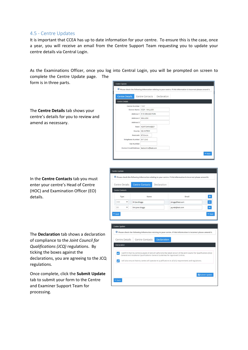### <span id="page-13-0"></span>4.5 - Centre Updates

It is important that CCEA has up to date information for your centre. To ensure this is the case, once a year, you will receive an email from the Centre Support Team requesting you to update your centre details via Central Login.

As the Examinations Officer, once you log into Central Login, you will be prompted on screen to complete the Centre Update page. The

Centre Update

form is in three parts.

The **Centre Details** tab shows your centre's details for you to review and amend as necessary.

In the **Centre Contacts** tab you must enter your centre's Head of Centre (HOC) and Examination Officer (EO) details.

The **Declaration** tab shows a declaration of compliance to the *Joint Council for Qualifications (JCQ)* regulations. By ticking the boxes against the declarations, you are agreeing to the JCQ regulations.

Once complete, click the **Submit Update** tab to submit your form to the Centre and Examiner Support Team for processing.